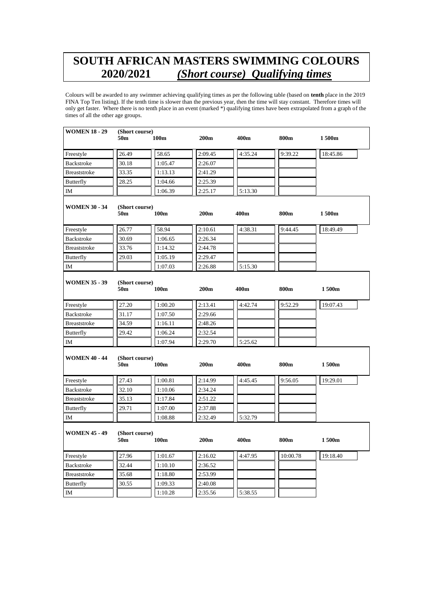## **SOUTH AFRICAN MASTERS SWIMMING COLOURS 2020/2021** *(Short course) Qualifying times*

Colours will be awarded to any swimmer achieving qualifying times as per the following table (based on **tenth** place in the 2019 FINA Top Ten listing). If the tenth time is slower than the previous year, then the time will stay constant. Therefore times will only get faster. Where there is no tenth place in an event (marked \*) qualifying times have been extrapolated from a graph of the times of all the other age groups.

| <b>WOMEN 18 - 29</b> | (Short course)                    |         |                  |         |          |          |
|----------------------|-----------------------------------|---------|------------------|---------|----------|----------|
|                      | 50m                               | 100m    | 200m             | 400m    | 800m     | 1 500m   |
| Freestyle            | 26.49                             | 58.65   | 2:09.45          | 4:35.24 | 9:39.22  | 18:45.86 |
| Backstroke           | 30.18                             | 1:05.47 | 2:26.07          |         |          |          |
| <b>Breaststroke</b>  | 33.35                             | 1:13.13 | 2:41.29          |         |          |          |
| <b>Butterfly</b>     | 28.25                             | 1:04.66 | 2:25.39          |         |          |          |
| IM                   |                                   | 1:06.39 | 2:25.17          | 5:13.30 |          |          |
| <b>WOMEN 30 - 34</b> | (Short course)<br>50 <sub>m</sub> | 100m    | 200m             | 400m    | 800m     | 1500m    |
| Freestyle            | 26.77                             | 58.94   | 2:10.61          | 4:38.31 | 9:44.45  | 18:49.49 |
| Backstroke           | 30.69                             | 1:06.65 | 2:26.34          |         |          |          |
| <b>Breaststroke</b>  | 33.76                             | 1:14.32 | 2:44.78          |         |          |          |
| <b>Butterfly</b>     | 29.03                             | 1:05.19 | 2:29.47          |         |          |          |
| IM                   |                                   | 1:07.03 | 2:26.88          | 5:15.30 |          |          |
| <b>WOMEN 35 - 39</b> | (Short course)<br>50m             | 100m    | 200m             | 400m    | 800m     | 1500m    |
| Freestyle            | 27.20                             | 1:00.20 | 2:13.41          | 4:42.74 | 9:52.29  | 19:07.43 |
| <b>Backstroke</b>    | 31.17                             | 1:07.50 | 2:29.66          |         |          |          |
| Breaststroke         | 34.59                             | 1:16.11 | 2:48.26          |         |          |          |
| <b>Butterfly</b>     | 29.42                             | 1:06.24 | 2:32.54          |         |          |          |
| IM                   |                                   | 1:07.94 | 2:29.70          | 5:25.62 |          |          |
| <b>WOMEN 40 - 44</b> | (Short course)<br>50m             | 100m    | 200m             | 400m    | 800m     | 1500m    |
| Freestyle            | 27.43                             | 1:00.81 | 2:14.99          | 4:45.45 | 9:56.05  | 19:29.01 |
| Backstroke           | 32.10                             | 1:10.06 | 2:34.24          |         |          |          |
| <b>Breaststroke</b>  | 35.13                             | 1:17.84 | 2:51.22          |         |          |          |
| <b>Butterfly</b>     | 29.71                             | 1:07.00 | 2:37.88          |         |          |          |
| IM                   |                                   | 1:08.88 | 2:32.49          | 5:32.79 |          |          |
| <b>WOMEN 45 - 49</b> | (Short course)<br>50m             | 100m    | 200 <sub>m</sub> | 400m    | 800m     | 1500m    |
| Freestyle            | 27.96                             | 1:01.67 | 2:16.02          | 4:47.95 | 10:00.78 | 19:18.40 |
| <b>Backstroke</b>    | 32.44                             | 1:10.10 | 2:36.52          |         |          |          |
| <b>Breaststroke</b>  | 35.68                             | 1:18.80 | 2:53.99          |         |          |          |
| <b>Butterfly</b>     | 30.55                             | 1:09.33 | 2:40.08          |         |          |          |
| IM                   |                                   | 1:10.28 | 2:35.56          | 5:38.55 |          |          |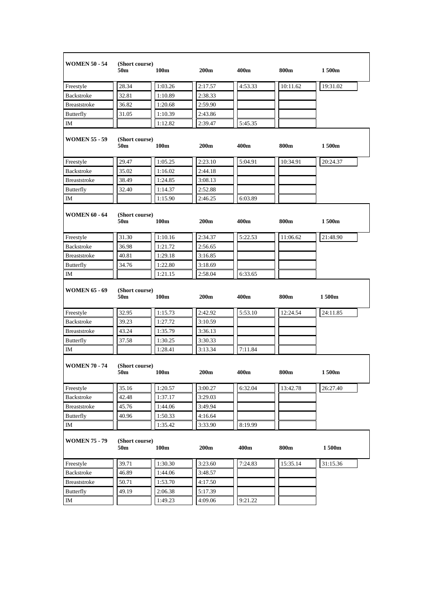| <b>WOMEN 50 - 54</b> | (Short course)<br>50m             | 100 <sub>m</sub> | 200 <sub>m</sub> | 400m    | 800m     | 1 500m   |
|----------------------|-----------------------------------|------------------|------------------|---------|----------|----------|
| Freestyle            | 28.34                             | 1:03.26          | 2:17.57          | 4:53.33 | 10:11.62 | 19:31.02 |
| <b>Backstroke</b>    | 32.81                             | 1:10.89          | 2:38.33          |         |          |          |
| <b>Breaststroke</b>  | 36.82                             | 1:20.68          | 2:59.90          |         |          |          |
| Butterfly            | 31.05                             | 1:10.39          | 2:43.86          |         |          |          |
| IM                   |                                   | 1:12.82          | 2:39.47          | 5:45.35 |          |          |
| <b>WOMEN 55 - 59</b> | (Short course)<br>50m             | 100 <sub>m</sub> | 200 <sub>m</sub> | 400m    | 800m     | 1 500m   |
| Freestyle            | 29.47                             | 1:05.25          | 2:23.10          | 5:04.91 | 10:34.91 | 20:24.37 |
| Backstroke           | 35.02                             | 1:16.02          | 2:44.18          |         |          |          |
| Breaststroke         | 38.49                             | 1:24.85          | 3:08.13          |         |          |          |
| <b>Butterfly</b>     | 32.40                             | 1:14.37          | 2:52.88          |         |          |          |
| $\rm IM$             |                                   | 1:15.90          | 2:46.25          | 6:03.89 |          |          |
| <b>WOMEN 60 - 64</b> | (Short course)<br>50m             | 100 <sub>m</sub> | 200 <sub>m</sub> | 400m    | 800m     | 1500m    |
| Freestyle            | 31.30                             | 1:10.16          | 2:34.37          | 5:22.53 | 11:06.62 | 21:48.90 |
| Backstroke           | 36.98                             | 1:21.72          | 2:56.65          |         |          |          |
| Breaststroke         | 40.81                             | 1:29.18          | 3:16.85          |         |          |          |
| Butterfly            | 34.76                             | 1:22.80          | 3:18.69          |         |          |          |
| IM                   |                                   | 1:21.15          | 2:58.04          | 6:33.65 |          |          |
|                      |                                   |                  |                  |         |          |          |
| <b>WOMEN 65 - 69</b> | (Short course)<br>50 <sub>m</sub> | 100 <sub>m</sub> | 200 <sub>m</sub> | 400m    | 800m     | 1 500m   |
| Freestyle            | 32.95                             | 1:15.73          | 2:42.92          | 5:53.10 | 12:24.54 | 24:11.85 |
| Backstroke           | 39.23                             | 1:27.72          | 3:10.59          |         |          |          |
| Breaststroke         | 43.24                             | 1:35.79          | 3:36.13          |         |          |          |
| Butterfly            | 37.58                             | 1:30.25          | 3:30.33          |         |          |          |
| IM                   |                                   | 1:28.41          | 3:13.34          | 7:11.84 |          |          |
| <b>WOMEN 70 - 74</b> | (Short course)<br>50m             | 100 <sub>m</sub> | 200 <sub>m</sub> | 400m    | 800m     | 1 500m   |
| Freestyle            | 35.16                             | 1:20.57          | 3:00.27          | 6:32.04 | 13:42.78 | 26:27.40 |
| Backstroke           | 42.48                             | 1:37.17          | 3:29.03          |         |          |          |
| Breaststroke         | 45.76                             | 1:44.06          | 3:49.94          |         |          |          |
| <b>Butterfly</b>     | 40.96                             | 1:50.33          | 4:16.64          |         |          |          |
| IM                   |                                   | 1:35.42          | 3:33.90          | 8:19.99 |          |          |
| <b>WOMEN 75 - 79</b> | (Short course)<br>50m             | 100m             | 200m             | 400m    | 800m     | 1500m    |
| Freestyle            | 39.71                             | 1:30.30          | 3:23.60          | 7:24.83 | 15:35.14 | 31:15.36 |
| Backstroke           | 46.89                             | 1:44.06          | 3:48.57          |         |          |          |
| Breaststroke         | 50.71                             | 1:53.70          | 4:17.50          |         |          |          |
| <b>Butterfly</b>     | 49.19                             | 2:06.38          | 5:17.39          |         |          |          |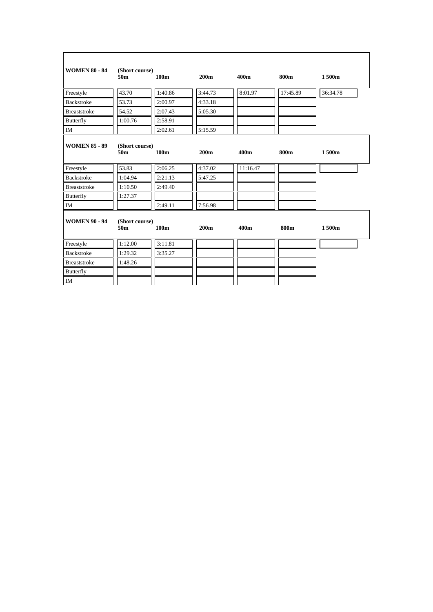| <b>WOMEN 80 - 84</b> | (Short course)<br>50 <sub>m</sub> | 100 <sub>m</sub> | 200 <sub>m</sub> | 400m             | 800m     | 1500m    |  |
|----------------------|-----------------------------------|------------------|------------------|------------------|----------|----------|--|
| Freestyle            | 43.70                             | 1:40.86          | 3:44.73          | 8:01.97          | 17:45.89 | 36:34.78 |  |
| <b>Backstroke</b>    | 53.73                             | 2:00.97          | 4:33.18          |                  |          |          |  |
| <b>Breaststroke</b>  | 54.52                             | 2:07.43          | 5:05.30          |                  |          |          |  |
| <b>Butterfly</b>     | 1:00.76                           | 2:58.91          |                  |                  |          |          |  |
| IM                   |                                   | 2:02.61          | 5:15.59          |                  |          |          |  |
| <b>WOMEN 85 - 89</b> | (Short course)<br>50m             | 100 <sub>m</sub> | 200 <sub>m</sub> | 400 <sub>m</sub> | 800m     | 1500m    |  |
| Freestyle            | 53.83                             | 2:06.25          | 4:37.02          | 11:16.47         |          |          |  |
| Backstroke           | 1:04.94                           | 2:21.13          | 5:47.25          |                  |          |          |  |
| <b>Breaststroke</b>  | 1:10.50                           | 2:49.40          |                  |                  |          |          |  |
| <b>Butterfly</b>     | 1:27.37                           |                  |                  |                  |          |          |  |
| $\rm IM$             |                                   | 2:49.11          | 7:56.98          |                  |          |          |  |
| <b>WOMEN 90 - 94</b> | (Short course)<br>50 <sub>m</sub> | 100 <sub>m</sub> | 200 <sub>m</sub> | 400m             | 800m     | 1500m    |  |
| Freestyle            | 1:12.00                           | 3:11.81          |                  |                  |          |          |  |
| <b>Backstroke</b>    | 1:29.32                           | 3:35.27          |                  |                  |          |          |  |
| <b>Breaststroke</b>  | 1:48.26                           |                  |                  |                  |          |          |  |
| Butterfly            |                                   |                  |                  |                  |          |          |  |
| IM                   |                                   |                  |                  |                  |          |          |  |

 $\mathbf{r}$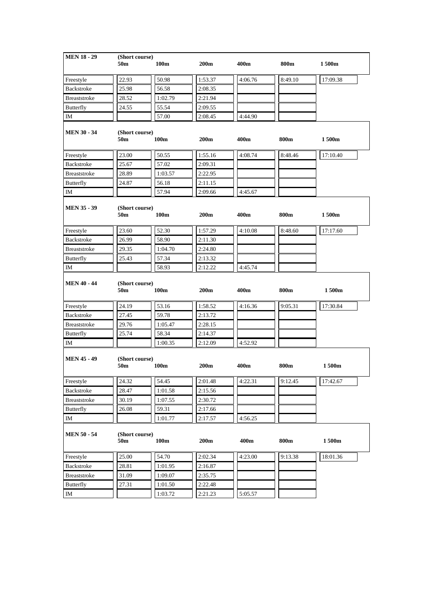| <b>MEN 18 - 29</b>  | (Short course)<br>50m | 100m             | 200 <sub>m</sub> | 400m    | 800m    | 1 500m   |
|---------------------|-----------------------|------------------|------------------|---------|---------|----------|
|                     |                       |                  |                  |         |         |          |
| Freestyle           | 22.93                 | 50.98            | 1:53.37          | 4:06.76 | 8:49.10 | 17:09.38 |
| Backstroke          | 25.98                 | 56.58            | 2:08.35          |         |         |          |
| <b>Breaststroke</b> | 28.52                 | 1:02.79          | 2:21.94          |         |         |          |
| <b>Butterfly</b>    | 24.55                 | 55.54            | 2:09.55          |         |         |          |
| IΜ                  |                       | 57.00            | 2:08.45          | 4:44.90 |         |          |
| <b>MEN 30 - 34</b>  | (Short course)<br>50m | 100 <sub>m</sub> | 200 <sub>m</sub> | 400m    | 800m    | 1500m    |
| Freestyle           | 23.00                 | 50.55            | 1:55.16          | 4:08.74 | 8:48.46 | 17:10.40 |
| Backstroke          | 25.67                 | 57.02            | 2:09.31          |         |         |          |
| <b>Breaststroke</b> | 28.89                 | 1:03.57          | 2:22.95          |         |         |          |
| Butterfly           | 24.87                 | 56.18            | 2:11.15          |         |         |          |
| IM                  |                       | 57.94            | 2:09.66          | 4:45.67 |         |          |
| <b>MEN 35 - 39</b>  | (Short course)<br>50m | 100m             | 200m             | 400m    | 800m    | 1500m    |
| Freestyle           | 23.60                 | 52.30            | 1:57.29          | 4:10.08 | 8:48.60 | 17:17.60 |
| Backstroke          | 26.99                 | 58.90            | 2:11.30          |         |         |          |
| Breaststroke        | 29.35                 | 1:04.70          | 2:24.80          |         |         |          |
| Butterfly           | 25.43                 | 57.34            | 2:13.32          |         |         |          |
| ΙM                  |                       | 58.93            | 2:12.22          | 4:45.74 |         |          |
|                     |                       |                  |                  |         |         |          |
| <b>MEN 40 - 44</b>  | (Short course)<br>50m | 100 <sub>m</sub> | 200 <sub>m</sub> | 400m    | 800m    | 1 500m   |
| Freestyle           | 24.19                 | 53.16            | 1:58.52          | 4:16.36 | 9:05.31 | 17:30.84 |
| Backstroke          | 27.45                 | 59.78            | 2:13.72          |         |         |          |
| <b>Breaststroke</b> | 29.76                 | 1:05.47          | 2:28.15          |         |         |          |
| <b>Butterfly</b>    | 25.74                 | 58.34            | 2:14.37          |         |         |          |
| IM                  |                       | 1:00.35          | 2:12.09          | 4:52.92 |         |          |
| <b>MEN 45 - 49</b>  | (Short course)<br>50m | 100 <sub>m</sub> | 200 <sub>m</sub> | 400m    | 800m    | 1500m    |
| Freestyle           | 24.32                 | 54.45            | 2:01.48          | 4:22.31 | 9:12.45 | 17:42.67 |
| Backstroke          | 28.47                 | 1:01.58          | 2:15.56          |         |         |          |
| Breaststroke        | 30.19                 | 1:07.55          | 2:30.72          |         |         |          |
| <b>Butterfly</b>    | 26.08                 | 59.31            | 2:17.66          |         |         |          |
| IΜ                  |                       | 1:01.77          | 2:17.57          | 4:56.25 |         |          |
| <b>MEN 50 - 54</b>  | (Short course)<br>50m | 100m             | 200m             | 400m    | 800m    | 1500m    |
| Freestyle           | 25.00                 | 54.70            | 2:02.34          | 4:23.00 | 9:13.38 | 18:01.36 |
| Backstroke          | 28.81                 | 1:01.95          | 2:16.87          |         |         |          |
| Breaststroke        | 31.09                 | 1:09.07          | 2:35.75          |         |         |          |
| Butterfly           | 27.31                 | 1:01.50          | 2:22.48          |         |         |          |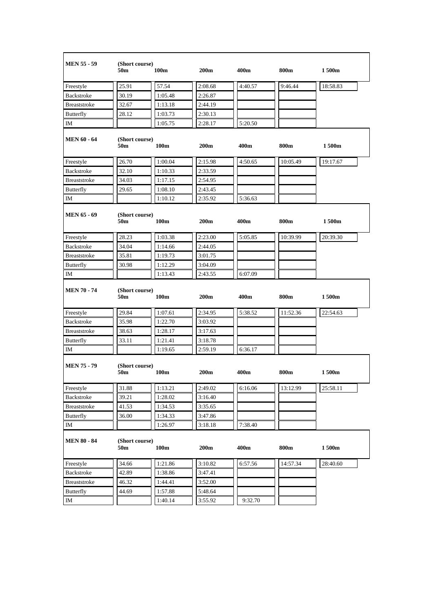| <b>MEN 55 - 59</b>      | (Short course)<br>50m             | 100 <sub>m</sub> | 200m             | 400m             | 800m     | 1 500m   |
|-------------------------|-----------------------------------|------------------|------------------|------------------|----------|----------|
| Freestyle               | 25.91                             | 57.54            | 2:08.68          | 4:40.57          | 9:46.44  | 18:58.83 |
| Backstroke              | 30.19                             | 1:05.48          | 2:26.87          |                  |          |          |
| Breaststroke            | 32.67                             | 1:13.18          | 2:44.19          |                  |          |          |
| <b>Butterfly</b>        | 28.12                             | 1:03.73          | 2:30.13          |                  |          |          |
| IM                      |                                   | 1:05.75          | 2:28.17          | 5:20.50          |          |          |
| <b>MEN 60 - 64</b>      | (Short course)<br>50m             | 100 <sub>m</sub> | 200 <sub>m</sub> | 400m             | 800m     | 1 500m   |
| Freestyle               | 26.70                             | 1:00.04          | 2:15.98          | 4:50.65          | 10:05.49 | 19:17.67 |
| Backstroke              | 32.10                             | 1:10.33          | 2:33.59          |                  |          |          |
| <b>Breaststroke</b>     | 34.03                             | 1:17.15          | 2:54.95          |                  |          |          |
| <b>Butterfly</b>        | 29.65                             | 1:08.10          | 2:43.45          |                  |          |          |
| ΙM                      |                                   | 1:10.12          | 2:35.92          | 5:36.63          |          |          |
| <b>MEN 65 - 69</b>      | (Short course)<br>50m             | 100 <sub>m</sub> | 200 <sub>m</sub> | 400 <sub>m</sub> | 800m     | 1 500m   |
| Freestyle               | 28.23                             | 1:03.38          | 2:23.00          | 5:05.85          | 10:39.99 | 20:39.30 |
| Backstroke              | 34.04                             | 1:14.66          | 2:44.05          |                  |          |          |
| <b>Breaststroke</b>     | 35.81                             | 1:19.73          | 3:01.75          |                  |          |          |
| Butterfly               | 30.98                             | 1:12.29          | 3:04.09          |                  |          |          |
| IM                      |                                   | 1:13.43          | 2:43.55          | 6:07.09          |          |          |
|                         |                                   |                  |                  |                  |          |          |
| <b>MEN 70 - 74</b>      | (Short course)<br>50m             | 100 <sub>m</sub> | 200 <sub>m</sub> | 400m             | 800m     | 1500m    |
| Freestyle               | 29.84                             | 1:07.61          | 2:34.95          | 5:38.52          | 11:52.36 | 22:54.63 |
| Backstroke              | 35.98                             | 1:22.70          | 3:03.92          |                  |          |          |
| <b>Breaststroke</b>     | 38.63                             | 1:28.17          | 3:17.63          |                  |          |          |
| <b>Butterfly</b>        | 33.11                             | 1:21.41          | 3:18.78          |                  |          |          |
| IM                      |                                   | 1:19.65          | 2:59.19          | 6:36.17          |          |          |
| <b>MEN 75 - 79</b>      | (Short course)<br>50 <sub>m</sub> | 100m             | 200 <sub>m</sub> | 400 <sub>m</sub> | 800m     | 1500m    |
| Freestyle               | 31.88                             | 1:13.21          | 2:49.02          | 6:16.06          | 13:12.99 | 25:58.11 |
| Backstroke              | 39.21                             | 1:28.02          | 3:16.40          |                  |          |          |
| Breaststroke            | 41.53                             | 1:34.53          | 3:35.65          |                  |          |          |
| <b>Butterfly</b>        | 36.00                             | 1:34.33          | 3:47.86          |                  |          |          |
| IM                      |                                   | 1:26.97          | 3:18.18          | 7:38.40          |          |          |
| <b>MEN 80 - 84</b>      | (Short course)<br>50m             | 100m             | 200m             | 400m             | 800m     | 1500m    |
|                         | 34.66                             | 1:21.86          | 3:10.82          | 6:57.56          | 14:57.34 | 28:40.60 |
| Freestyle<br>Backstroke | 42.89                             | 1:38.86          | 3:47.41          |                  |          |          |
| Breaststroke            | 46.32                             | 1:44.41          | 3:52.00          |                  |          |          |
| <b>Butterfly</b>        | 44.69                             | 1:57.88          | 5:48.64          |                  |          |          |